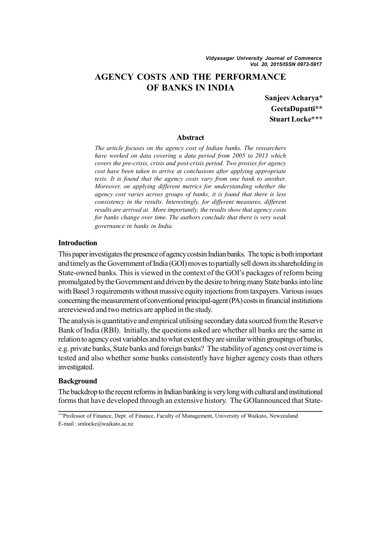# **AGENCY COSTS AND THE PERFORMANCE OF BANKS IN INDIA**

**Sanjeev Acharya\* GeetaDupatti\*\* Stuart Locke\*\*\***

### **Abstract**

*The article focuses on the agency cost of Indian banks. The researchers have worked on data covering a data period from 2005 to 2013 which covers the pre-crisis, crisis and post-crisis period. Two proxies for agency cost have been taken to arrive at conclusions after applying appropriate tests. It is found that the agency costs vary from one bank to another. Moreover, on applying different metrics for understanding whether the agency cost varies across groups of banks, it is found that there is less consistency in the results. Interestingly, for different measures, different results are arrived at. More importantly, the results show that agency costs for banks change over time. The authors conclude that there is very weak governance in banks in India.*

## **Introduction**

This paper investigates the presence of agency costsin Indian banks. The topic is both important and timely as the Government of India (GOI) moves to partially sell down its shareholding in State-owned banks. This is viewed in the context of the GOI's packages of reform being promulgated by the Government and driven by the desire to bring many State banks into line with Basel 3 requirements without massive equity injections from taxpayers. Various issues concerning the measurement of conventional principal-agent (PA) costs in financial institutions arereviewed and two metrics are applied in the study.

The analysis is quantitative and empirical utilising secondary data sourced from the Reserve Bank of India (RBI). Initially, the questions asked are whether all banks are the same in relation to agency cost variables and to what extent they are similar within groupings of banks, e.g. private banks, State banks and foreign banks? The stability of agency cost over time is tested and also whether some banks consistently have higher agency costs than others investigated.

## **Background**

The backdrop to the recent reforms in Indian banking is very long with cultural and institutional forms that have developed through an extensive history. The GOIannounced that State-

<sup>\*\*\*</sup>Professor of Finance, Dept. of Finance, Faculty of Management, University of Waikato, Newzealand E-mail : smlocke@waikato.ac.nz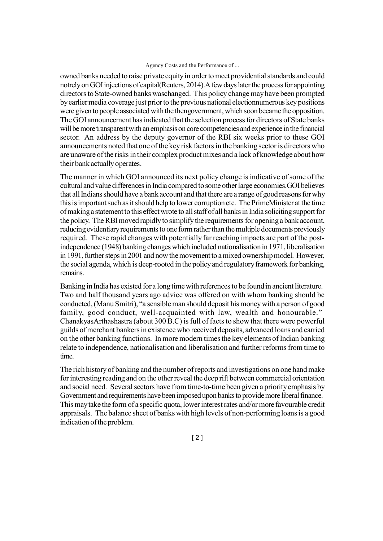owned banks needed to raise private equity in order to meet providential standards and could notrely on GOI injections of capital(Reuters, 2014).A few days later the process for appointing directors to State-owned banks waschanged. This policy change may have been prompted by earlier media coverage just prior to the previous national electionnumerous key positions were given to people associated with the thengovernment, which soon became the opposition. The GOI announcement has indicated that the selection process for directors of State banks will be more transparent with an emphasis on core competencies and experience in the financial sector. An address by the deputy governor of the RBI six weeks prior to these GOI announcements noted that one of the key risk factors in the banking sector is directors who are unaware of the risks in their complex product mixes and a lack of knowledge about how their bank actually operates.

The manner in which GOI announced its next policy change is indicative of some of the cultural and value differences in India compared to some other large economies.GOI believes that all Indians should have a bank account and that there are a range of good reasons for why this is important such as it should help to lower corruption etc. The PrimeMinister at the time of making a statement to this effect wrote to all staff of all banks in India soliciting support for the policy. The RBI moved rapidly to simplify the requirements for opening a bank account, reducing evidentiary requirements to one form rather than the multiple documents previously required. These rapid changes with potentially far reaching impacts are part of the postindependence (1948) banking changes which included nationalisation in 1971, liberalisation in 1991, further steps in 2001 and now the movement to a mixed ownership model. However, the social agenda, which is deep-rooted in the policy and regulatory framework for banking, remains.

Banking in India has existed for a long time with references to be found in ancient literature. Two and half thousand years ago advice was offered on with whom banking should be conducted, (Manu Smitri), "a sensible man should deposit his money with a person of good family, good conduct, well-acquainted with law, wealth and honourable." ChanakyasArthashastra (about 300 B.C) is full of facts to show that there were powerful guilds of merchant bankers in existence who received deposits, advanced loans and carried on the other banking functions. In more modern times the key elements of Indian banking relate to independence, nationalisation and liberalisation and further reforms from time to time.

The rich history of banking and the number of reports and investigations on one hand make for interesting reading and on the other reveal the deep rift between commercial orientation and social need. Several sectors have from time-to-time been given a priority emphasis by Government and requirements have been imposed upon banks to provide more liberal finance. This may take the form of a specific quota, lower interest rates and/or more favourable credit appraisals. The balance sheet of banks with high levels of non-performing loans is a good indication of the problem.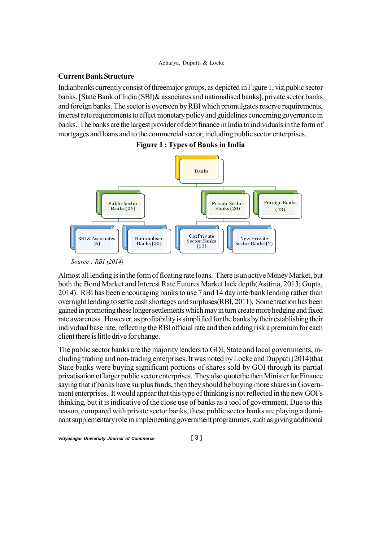### **Current Bank Structure**

Indianbanks currently consist of threemajor groups, as depicted in Figure 1, viz.public sector banks, [State Bank of India (SBI)& associates and nationalised banks], private sector banks and foreign banks. The sector is overseen by RBI which promulgates reserve requirements, interest rate requirements to effect monetary policy and guidelines concerning governance in banks. The banks are the largest provider of debt finance in India to individuals in the form of mortgages and loans and to the commercial sector, including public sector enterprises.





*Source : RBI (2014)*

Almost all lending is in the form of floating rate loans. There is an active Money Market, but both the Bond Market and Interest Rate Futures Market lack depth(Asifma, 2013; Gupta, 2014). RBI has been encouraging banks to use 7 and 14 day interbank lending rather than overnight lending to settle cash shortages and surpluses(RBI, 2011). Some traction has been gained in promoting these longer settlements which may in turn create more hedging and fixed rate awareness. However, as profitability is simplified for the banks by their establishing their individual base rate, reflecting the RBI official rate and then adding risk a premium for each client there is little drive for change.

The public sector banks are the majority lenders to GOI, State and local governments, including trading and non-trading enterprises. It was noted by Locke and Duppati (2014)that State banks were buying significant portions of shares sold by GOI through its partial privatisation of larger public sector enterprises. They also quotethe then Minister for Finance saying that if banks have surplus funds, then they should be buying more shares in Government enterprises. It would appear that this type of thinking is not reflected in the new GOI's thinking, but it is indicative of the close use of banks as a tool of government. Due to this reason, compared with private sector banks, these public sector banks are playing a dominant supplementary role in implementing government programmes, such as giving additional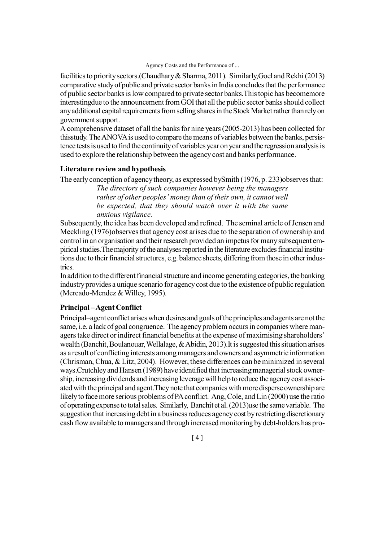facilities to priority sectors.(Chaudhary & Sharma, 2011). Similarly,Goel and Rekhi (2013) comparative study of public and private sector banks in India concludes that the performance of public sector banks is low compared to private sector banks.This topic has becomemore interestingdue to the announcement from GOI that all the public sector banks should collect any additional capital requirements from selling shares in the Stock Market rather than rely on government support.

A comprehensive dataset of all the banks for nine years (2005-2013) has been collected for thisstudy. The ANOVA is used to compare the means of variables between the banks, persistence tests is used to find the continuity of variables year on year and the regression analysis is used to explore the relationship between the agency cost and banks performance.

## **Literature review and hypothesis**

The early conception of agency theory, as expressed bySmith (1976, p. 233)observes that:

*The directors of such companies however being the managers rather of other peoples' money than of their own, it cannot well be expected, that they should watch over it with the same anxious vigilance.*

Subsequently, the idea has been developed and refined. The seminal article of Jensen and Meckling (1976)observes that agency cost arises due to the separation of ownership and control in an organisation and their research provided an impetus for many subsequent empirical studies.The majority of the analyses reported in the literature excludes financial institutions due to their financial structures, e.g. balance sheets, differing from those in other industries.

In addition to the different financial structure and income generating categories, the banking industry provides a unique scenario for agency cost due to the existence of public regulation (Mercado-Mendez & Willey, 1995).

## **Principal – Agent Conflict**

Principal–agent conflict arises when desires and goals of the principles and agents are not the same, i.e. a lack of goal congruence. The agency problem occurs in companies where managers take direct or indirect financial benefits at the expense of maximising shareholders' wealth (Banchit, Boulanouar, Wellalage, & Abidin, 2013).It is suggested this situation arises as a result of conflicting interests among managers and owners and asymmetric information (Chrisman, Chua, & Litz, 2004). However, these differences can be minimized in several ways.Crutchley and Hansen (1989) have identified that increasing managerial stock ownership, increasing dividends and increasing leverage will help to reduce the agency cost associated with the principal and agent.They note that companies with more disperse ownership are likely to face more serious problems of PA conflict. Ang, Cole, and Lin (2000) use the ratio of operating expense to total sales. Similarly, Banchit et al. (2013)use the same variable. The suggestion that increasing debt in a business reduces agency cost by restricting discretionary cash flow available to managers and through increased monitoring by debt-holders has pro-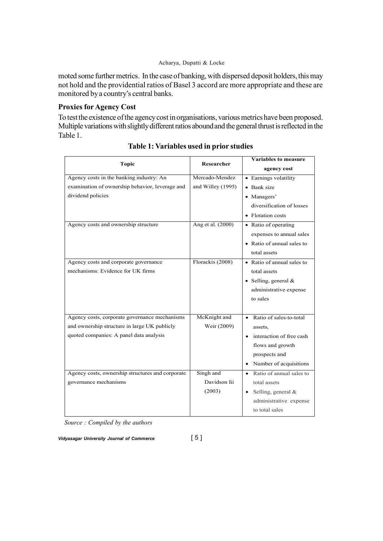moted some further metrics. In the case of banking, with dispersed deposit holders, this may not hold and the providential ratios of Basel 3 accord are more appropriate and these are monitored by a country's central banks.

## **Proxies for Agency Cost**

To test the existence of the agency cost in organisations, various metrics have been proposed. Multiple variations with slightly different ratios abound and the general thrust is reflected in the Table 1.

| <b>Topic</b>                                     | Researcher        | <b>Variables to measure</b>           |
|--------------------------------------------------|-------------------|---------------------------------------|
|                                                  |                   | agency cost                           |
| Agency costs in the banking industry: An         | Mercado-Mendez    | • Earnings volatility                 |
| examination of ownership behavior, leverage and  | and Willey (1995) | • Bank size                           |
| dividend policies                                |                   | • Managers'                           |
|                                                  |                   | diversification of losses             |
|                                                  |                   | • Flotation costs                     |
| Agency costs and ownership structure             | Ang et al. (2000) | • Ratio of operating                  |
|                                                  |                   | expenses to annual sales              |
|                                                  |                   | • Ratio of annual sales to            |
|                                                  |                   | total assets                          |
| Agency costs and corporate governance            | Florackis (2008)  | • Ratio of annual sales to            |
| mechanisms: Evidence for UK firms                |                   | total assets                          |
|                                                  |                   | • Selling, general $&$                |
|                                                  |                   | administrative expense                |
|                                                  |                   | to sales                              |
|                                                  |                   |                                       |
| Agency costs, corporate governance mechanisms    | McKnight and      | Ratio of sales-to-total<br>$\bullet$  |
| and ownership structure in large UK publicly     | Weir (2009)       | assets,                               |
| quoted companies: A panel data analysis          |                   | interaction of free cash<br>$\bullet$ |
|                                                  |                   | flows and growth                      |
|                                                  |                   | prospects and                         |
|                                                  |                   | Number of acquisitions<br>$\bullet$   |
| Agency costs, ownership structures and corporate | Singh and         | Ratio of annual sales to<br>$\bullet$ |
| governance mechanisms                            | Davidson Iii      | total assets                          |
|                                                  | (2003)            | Selling, general &<br>$\bullet$       |
|                                                  |                   | administrative expense                |
|                                                  |                   | to total sales                        |

# **Table 1: Variables used in prior studies**

*Source : Compiled by the authors*

*Vidyasagar University Journal of Commerce* [ 5 ]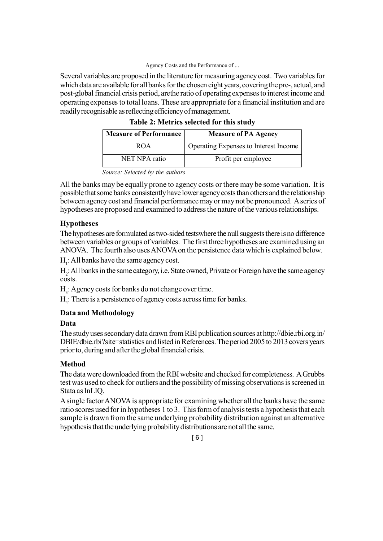Several variables are proposed in the literature for measuring agency cost. Two variables for which data are available for all banks for the chosen eight years, covering the pre-, actual, and post-global financial crisis period, arethe ratio of operating expenses to interest income and operating expenses to total loans. These are appropriate for a financial institution and are readily recognisable as reflecting efficiency of management.

| <b>Measure of Performance</b> | <b>Measure of PA Agency</b>           |
|-------------------------------|---------------------------------------|
| ROA                           | Operating Expenses to Interest Income |
| <b>NET NPA</b> ratio          | Profit per employee                   |

| Table 2: Metrics selected for this study |
|------------------------------------------|
|------------------------------------------|

All the banks may be equally prone to agency costs or there may be some variation. It is possible that some banks consistently have lower agency costs than others and the relationship between agency cost and financial performance may or may not be pronounced. A series of hypotheses are proposed and examined to address the nature of the various relationships.

# **Hypotheses**

The hypotheses are formulated as two-sided testswhere the null suggests there is no difference between variables or groups of variables. The first three hypotheses are examined using an ANOVA. The fourth also uses ANOVA on the persistence data which is explained below.

 $H_1$ : All banks have the same agency cost.

H<sub>2</sub>: All banks in the same category, i.e. State owned, Private or Foreign have the same agency costs.

 $H_3$ : Agency costs for banks do not change over time.

 $H_4$ : There is a persistence of agency costs across time for banks.

# **Data and Methodology**

## **Data**

The study uses secondary data drawn from RBI publication sources at http://dbie.rbi.org.in/ DBIE/dbie.rbi?site=statistics and listed in References. The period 2005 to 2013 covers years prior to, during and after the global financial crisis.

# **Method**

The data were downloaded from the RBI website and checked for completeness. A Grubbs test was used to check for outliers and the possibility of missing observations is screened in Stata as lnLIQ.

A single factor ANOVA is appropriate for examining whether all the banks have the same ratio scores used for in hypotheses 1 to 3. This form of analysis tests a hypothesis that each sample is drawn from the same underlying probability distribution against an alternative hypothesis that the underlying probability distributions are not all the same.

*Source: Selected by the authors*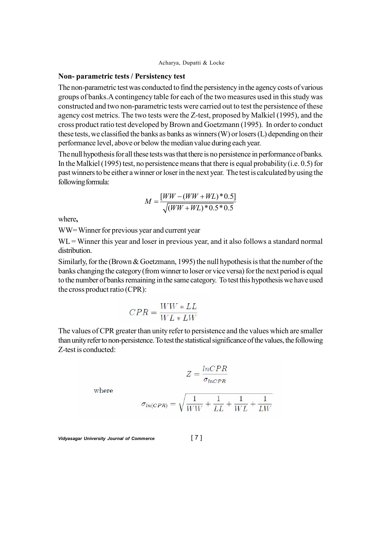### **Non- parametric tests / Persistency test**

The non-parametric test was conducted to find the persistency in the agency costs of various groups of banks.A contingency table for each of the two measures used in this study was constructed and two non-parametric tests were carried out to test the persistence of these agency cost metrics. The two tests were the Z-test, proposed by Malkiel (1995), and the cross product ratio test developed by Brown and Goetzmann (1995). In order to conduct these tests, we classified the banks as banks as winners (W) or losers (L) depending on their performance level, above or below the median value during each year.

The null hypothesis for all these tests was that there is no persistence in performance of banks. In the Malkiel (1995) test, no persistence means that there is equal probability (i.e. 0.5) for past winners to be either a winner or loser in the next year. The test is calculated by using the following formula:

$$
M = \frac{[WW - (WW + WL)^* 0.5]}{\sqrt{(WW + WL)^* 0.5^* 0.5}}
$$

where**,**

WW= Winner for previous year and current year

 $WL =$  Winner this year and loser in previous year, and it also follows a standard normal distribution.

Similarly, for the (Brown  $& Goetzmann$ , 1995) the null hypothesis is that the number of the banks changing the category (from winner to loser or vice versa) for the next period is equal to the number of banks remaining in the same category. To test this hypothesis we have used the cross product ratio (CPR):

$$
CPR = \frac{WW * LL}{WL * LW}
$$

The values of CPR greater than unity refer to persistence and the values which are smaller than unity refer to non-persistence. To test the statistical significance of the values, the following Z-test is conducted:

where

$$
\sigma_{ln(CPR)} = \sqrt{\frac{1}{WW} + \frac{1}{LL} + \frac{1}{WL} + \frac{1}{LW}}
$$

 $Z = \frac{lnCPR}{\sigma_{lnCPB}}$ 

*Vidyasagar University Journal of Commerce* [ 7 ]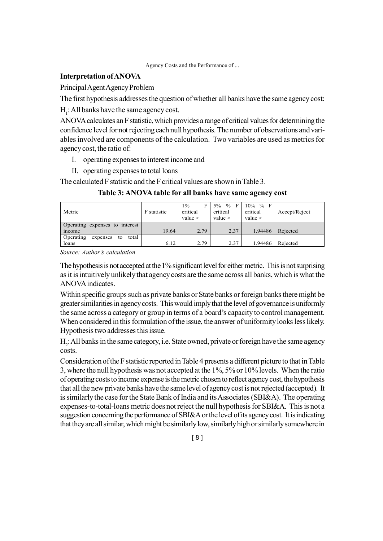## **Interpretation of ANOVA**

Principal Agent Agency Problem

The first hypothesis addresses the question of whether all banks have the same agency cost:

 $H_1$ : All banks have the same agency cost.

ANOVA calculates an F statistic, which provides a range of critical values for determining the confidence level for not rejecting each null hypothesis. The number of observations and variables involved are components of the calculation. Two variables are used as metrics for agency cost, the ratio of:

- I. operating expenses to interest income and
- II. operating expenses to total loans

The calculated F statistic and the F critical values are shown in Table 3.

| Metric                               | F statistic | $1\%$<br>Е<br>critical<br>value > | 5% % F<br>critical<br>value > | $10\%$ % F<br>critical<br>value > | Accept/Reject |
|--------------------------------------|-------------|-----------------------------------|-------------------------------|-----------------------------------|---------------|
| Operating expenses to interest       |             |                                   |                               |                                   |               |
| income                               | 19.64       | 2.79                              | 2.37                          | 1.94486                           | Rejected      |
| Operating<br>total<br>expenses<br>to |             |                                   |                               |                                   |               |
| loans                                | 6.12        | 2.79                              | 2.37                          | 1.94486                           | Rejected      |

## **Table 3: ANOVA table for all banks have same agency cost**

*Source: Author's calculation*

The hypothesis is not accepted at the 1% significant level for either metric. This is not surprising as it is intuitively unlikely that agency costs are the same across all banks, which is what the ANOVA indicates.

Within specific groups such as private banks or State banks or foreign banks there might be greater similarities in agency costs. This would imply that the level of governance is uniformly the same across a category or group in terms of a board's capacity to control management. When considered in this formulation of the issue, the answer of uniformity looks less likely. Hypothesis two addresses this issue.

 $H_2$ : All banks in the same category, i.e. State owned, private or foreign have the same agency costs.

Consideration of the F statistic reported in Table 4 presents a different picture to that in Table 3, where the null hypothesis was not accepted at the 1%, 5% or 10% levels. When the ratio of operating costs to income expense is the metric chosen to reflect agency cost, the hypothesis that all the new private banks have the same level of agency cost is not rejected (accepted). It is similarly the case for the State Bank of India and its Associates (SBI&A). The operating expenses-to-total-loans metric does not reject the null hypothesis for SBI&A. This is not a suggestion concerning the performance of SBI&A or the level of its agency cost. It is indicating that they are all similar, which might be similarly low, similarly high or similarly somewhere in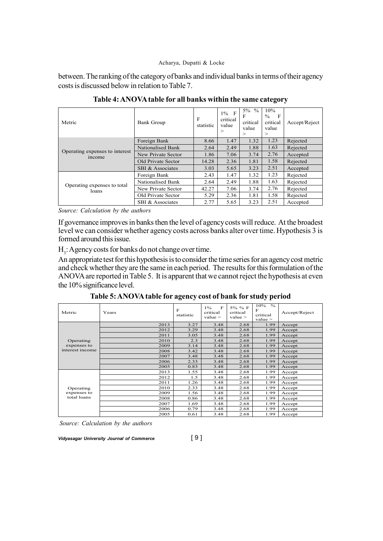between. The ranking of the category of banks and individual banks in terms of their agency costs is discussed below in relation to Table 7.

| Metric                                   | <b>Bank Group</b>  | F<br>statistic | $1\%$ F<br>critical<br>value<br>> | $5\%$ %<br>F<br>critical<br>value<br>$\rm{>}$ | 10%<br>$\frac{0}{0}$<br>$\mathbf{F}$<br>critical<br>value<br>$\rm{>}$ | Accept/Reject |
|------------------------------------------|--------------------|----------------|-----------------------------------|-----------------------------------------------|-----------------------------------------------------------------------|---------------|
|                                          | Foreign Bank       | 8.66           | 1.47                              | 1.32                                          | 1.23                                                                  | Rejected      |
| Operating expenses to interest<br>income | Nationalised Bank  | 2.64           | 2.49                              | 1.88                                          | 1.63                                                                  | Rejected      |
|                                          | New Private Sector | 1.86           | 7.06                              | 3.74                                          | 2.76                                                                  | Accepted      |
|                                          | Old Private Sector | 14.28          | 2.36                              | 1.81                                          | 1.58                                                                  | Rejected      |
|                                          | SBI & Associates   | 3.03           | 5.65                              | 3.23                                          | 2.51                                                                  | Accepted      |
|                                          | Foreign Bank       | 2.43           | 1.47                              | 1.32                                          | 1.23                                                                  | Rejected      |
|                                          | Nationalised Bank  | 2.64           | 2.49                              | 1.88                                          | 1.63                                                                  | Rejected      |
| Operating expenses to total<br>loans     | New Private Sector | 42.27          | 7.06                              | 3.74                                          | 2.76                                                                  | Rejected      |
|                                          | Old Private Sector | 5.29           | 2.36                              | 1.81                                          | 1.58                                                                  | Rejected      |
|                                          | SBI & Associates   | 2.77           | 5.65                              | 3.23                                          | 2.51                                                                  | Accepted      |

**Table 4: ANOVA table for all banks within the same category**

*Source: Calculation by the authors*

If governance improves in banks then the level of agency costs will reduce. At the broadest level we can consider whether agency costs across banks alter over time. Hypothesis 3 is formed around this issue.

 $H_3$ : Agency costs for banks do not change over time.

An appropriate test for this hypothesis is to consider the time series for an agency cost metric and check whether they are the same in each period. The results for this formulation of the ANOVA are reported in Table 5. It is apparent that we cannot reject the hypothesis at even the 10% significance level.

**Table 5: ANOVA table for agency cost of bank for study period**

| Metric                     | Years | F<br>statistic | $\mathbf{F}$<br>$1\%$<br>critical<br>value > | 5% % F<br>critical<br>value | $\frac{0}{0}$<br>10%<br>F<br>critical<br>value | Accept/Reject |
|----------------------------|-------|----------------|----------------------------------------------|-----------------------------|------------------------------------------------|---------------|
|                            | 2013  | 3.27           | 3.48                                         | 2.68                        | 1.99                                           | Accept        |
|                            | 2012  | 3.29           | 3.48                                         | 2.68                        | 1.99                                           | Accept        |
|                            | 2011  | 3.05           | 3.48                                         | 2.68                        | 1.99                                           | Accept        |
| Operating                  | 2010  | 2.3            | 3.48                                         | 2.68                        | 1.99                                           | Accept        |
| expenses to                | 2009  | 3.14           | 3.48                                         | 2.68                        | 1.99                                           | Accept        |
| interest income            | 2008  | 3.42           | 3.48                                         | 2.68                        | 1.99                                           | Accept        |
|                            | 2007  | 3.48           | 3.48                                         | 2.68                        | 1.99                                           | Accept        |
|                            | 2006  | 2.33           | 3.48                                         | 2.68                        | 1.99                                           | Accept        |
|                            | 2005  | 0.83           | 3.48                                         | 2.68                        | 1.99                                           | Accept        |
|                            | 2013  | 1.55           | 3.48                                         | 2.68                        | 1.99                                           | Accept        |
|                            | 2012  | 1.5            | 3.48                                         | 2.68                        | 1.99                                           | Accept        |
|                            | 2011  | 1.26           | 3.48                                         | 2.68                        | 1.99                                           | Accept        |
| Operating                  | 2010  | 2.33           | 3.48                                         | 2.68                        | 1.99                                           | Accept        |
| expenses to<br>total loans | 2009  | 1.56           | 3.48                                         | 2.68                        | 1.99                                           | Accept        |
|                            | 2008  | 0.86           | 3.48                                         | 2.68                        | 1.99                                           | Accept        |
|                            | 2007  | 1.69           | 3.48                                         | 2.68                        | 1.99                                           | Accept        |
|                            | 2006  | 0.79           | 3.48                                         | 2.68                        | 1.99                                           | Accept        |
|                            | 2005  | 0.61           | 3.48                                         | 2.68                        | 1.99                                           | Accept        |

*Source: Calculation by the authors*

*Vidyasagar University Journal of Commerce* [ 9 ]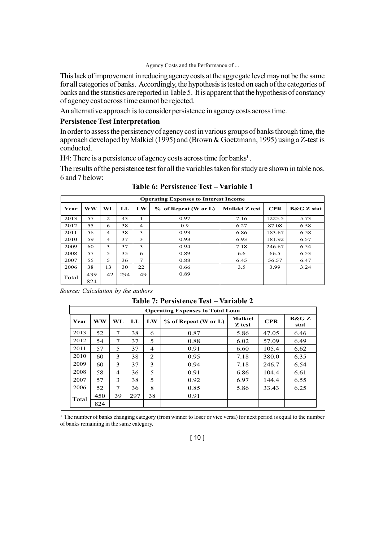This lack of improvement in reducing agency costs at the aggregate level may not be the same for all categories of banks. Accordingly, the hypothesis is tested on each of the categories of banks and the statistics are reported in Table 5. It is apparent that the hypothesis of constancy of agency cost across time cannot be rejected.

An alternative approach is to consider persistence in agency costs across time.

### **Persistence Test Interpretation**

In order to assess the persistency of agency cost in various groups of banks through time, the approach developed by Malkiel (1995) and (Brown & Goetzmann, 1995) using a Z-test is conducted.

H4: There is a persistence of agency costs across time for banks<sup>1</sup>.

The results of the persistence test for all the variables taken for study are shown in table nos. 6 and 7 below:

|       | <b>Operating Expenses to Interest Income</b> |                |     |                |                      |                       |            |                       |  |  |  |
|-------|----------------------------------------------|----------------|-----|----------------|----------------------|-----------------------|------------|-----------------------|--|--|--|
| Year  | <b>WW</b>                                    | WL             | LL  | LW             | % of Repeat (W or L) | <b>Malkiel Z test</b> | <b>CPR</b> | <b>B&amp;G</b> Z stat |  |  |  |
| 2013  | 57                                           | 2              | 43  | 1              | 0.97                 | 7.16                  | 1225.5     | 5.73                  |  |  |  |
| 2012  | 55                                           | 6              | 38  | $\overline{4}$ | 0.9                  | 6.27                  | 87.08      | 6.58                  |  |  |  |
| 2011  | 58                                           | $\overline{4}$ | 38  | 3              | 0.93                 | 6.86                  | 183.67     | 6.58                  |  |  |  |
| 2010  | 59                                           | $\overline{4}$ | 37  | 3              | 0.93                 | 6.93                  | 181.92     | 6.57                  |  |  |  |
| 2009  | 60                                           | 3              | 37  | 3              | 0.94                 | 7.18                  | 246.67     | 6.54                  |  |  |  |
| 2008  | 57                                           | 5              | 35  | 6              | 0.89                 | 6.6                   | 66.5       | 6.53                  |  |  |  |
| 2007  | 55                                           | 5              | 36  | 7              | 0.88                 | 6.45                  | 56.57      | 6.47                  |  |  |  |
| 2006  | 38                                           | 13             | 30  | 22             | 0.66                 | 3.5                   | 3.99       | 3.24                  |  |  |  |
| Total | 439                                          | 42             | 294 | 49             | 0.89                 |                       |            |                       |  |  |  |
|       | 824                                          |                |     |                |                      |                       |            |                       |  |  |  |

**Table 6: Persistence Test – Variable 1**

*Source: Calculation by the authors*

**Table 7: Persistence Test – Variable 2**

| TADIC 7. I CLYBULIUL TUBL<br>, al iavit <i>e</i><br><b>Operating Expenses to Total Loan</b> |           |                         |     |    |                      |                          |            |               |  |
|---------------------------------------------------------------------------------------------|-----------|-------------------------|-----|----|----------------------|--------------------------|------------|---------------|--|
| Year                                                                                        | <b>WW</b> | WL                      | LL  | LW | % of Repeat (W or L) | <b>Malkiel</b><br>Z test | <b>CPR</b> | B&G Z<br>stat |  |
| 2013                                                                                        | 52        | 7                       | 38  | 6  | 0.87                 | 5.86                     | 47.05      | 6.46          |  |
| 2012                                                                                        | 54        | 7                       | 37  | 5  | 0.88                 | 6.02                     | 57.09      | 6.49          |  |
| 2011                                                                                        | 57        | $\overline{\mathbf{5}}$ | 37  | 4  | 0.91                 | 6.60                     | 105.4      | 6.62          |  |
| 2010                                                                                        | 60        | 3                       | 38  | 2  | 0.95                 | 7.18                     | 380.0      | 6.35          |  |
| 2009                                                                                        | 60        | $\mathbf{3}$            | 37  | 3  | 0.94                 | 7.18                     | 246.7      | 6.54          |  |
| 2008                                                                                        | 58        | $\overline{4}$          | 36  | 5  | 0.91                 | 6.86                     | 104.4      | 6.61          |  |
| 2007                                                                                        | 57        | 3                       | 38  | 5  | 0.92                 | 6.97                     | 144.4      | 6.55          |  |
| 2006                                                                                        | 52        | 7                       | 36  | 8  | 0.85                 | 5.86                     | 33.43      | 6.25          |  |
| Total                                                                                       | 450       | 39                      | 297 | 38 | 0.91                 |                          |            |               |  |
|                                                                                             | 824       |                         |     |    |                      |                          |            |               |  |

1 The number of banks changing category (from winner to loser or vice versa) for next period is equal to the number of banks remaining in the same category.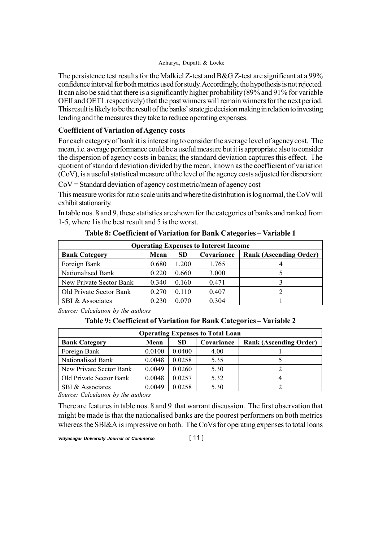The persistence test results for the Malkiel Z-test and B&G Z-test are significant at a 99% confidence interval for both metrics used for study. Accordingly, the hypothesis is not rejected. It can also be said that there is a significantly higher probability (89% and 91% for variable OEII and OETL respectively) that the past winners will remain winners for the next period. This result is likely to be the result of the banks' strategic decision making in relation to investing lending and the measures they take to reduce operating expenses.

## **Coefficient of Variation of Agency costs**

For each category of bank it is interesting to consider the average level of agency cost. The mean, i.e. average performance could be a useful measure but it is appropriate also to consider the dispersion of agency costs in banks; the standard deviation captures this effect. The quotient of standard deviation divided by the mean, known as the coefficient of variation (CoV), is a useful statistical measure of the level of the agency costs adjusted for dispersion:

CoV = Standard deviation of agency cost metric/mean of agency cost

This measure works for ratio scale units and where the distribution is log normal, the CoV will exhibit stationarity.

In table nos. 8 and 9, these statistics are shown for the categories of banks and ranked from 1-5, where 1is the best result and 5 is the worst.

| <b>Operating Expenses to Interest Income</b>                                       |       |       |       |  |  |  |  |  |
|------------------------------------------------------------------------------------|-------|-------|-------|--|--|--|--|--|
| Covariance<br><b>Bank Category</b><br>SD.<br><b>Rank (Ascending Order)</b><br>Mean |       |       |       |  |  |  |  |  |
| Foreign Bank                                                                       | 0.680 | 1.200 | 1.765 |  |  |  |  |  |
| Nationalised Bank                                                                  | 0.220 | 0.660 | 3.000 |  |  |  |  |  |
| New Private Sector Bank                                                            | 0.340 | 0.160 | 0.471 |  |  |  |  |  |
| Old Private Sector Bank                                                            | 0.270 | 0.110 | 0.407 |  |  |  |  |  |
| SBI & Associates                                                                   | 0.230 | 0.070 | 0 304 |  |  |  |  |  |

**Table 8: Coefficient of Variation for Bank Categories – Variable 1**

*Source: Calculation by the authors*

## **Table 9: Coefficient of Variation for Bank Categories – Variable 2**

| <b>Operating Expenses to Total Loan</b> |        |           |            |                               |  |  |  |  |
|-----------------------------------------|--------|-----------|------------|-------------------------------|--|--|--|--|
| <b>Bank Category</b>                    | Mean   | <b>SD</b> | Covariance | <b>Rank (Ascending Order)</b> |  |  |  |  |
| Foreign Bank                            | 0.0100 | 0.0400    | 4.00       |                               |  |  |  |  |
| Nationalised Bank                       | 0.0048 | 0.0258    | 5.35       |                               |  |  |  |  |
| New Private Sector Bank                 | 0.0049 | 0.0260    | 5.30       |                               |  |  |  |  |
| Old Private Sector Bank                 | 0.0048 | 0.0257    | 5.32       |                               |  |  |  |  |
| SBI & Associates                        | 0.0049 | 0.0258    | 5.30       |                               |  |  |  |  |

*Source: Calculation by the authors*

There are features in table nos. 8 and 9 that warrant discussion. The first observation that might be made is that the nationalised banks are the poorest performers on both metrics whereas the SBI&A is impressive on both. The CoVs for operating expenses to total loans

*Vidyasagar University Journal of Commerce* [ 11 ]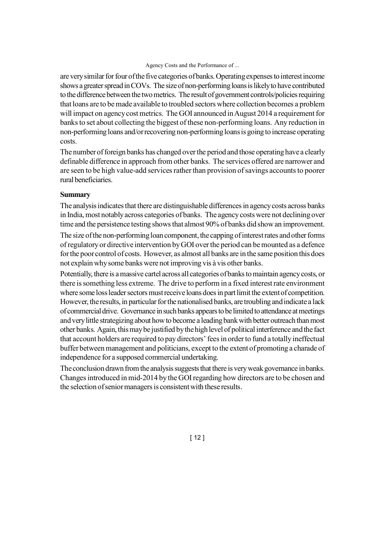are very similar for four of the five categories of banks. Operating expenses to interest income shows a greater spread in COVs. The size of non-performing loans is likely to have contributed to the difference between the two metrics. The result of government controls/policies requiring that loans are to be made available to troubled sectors where collection becomes a problem will impact on agency cost metrics. The GOI announced in August 2014 a requirement for banks to set about collecting the biggest of these non-performing loans. Any reduction in non-performing loans and/or recovering non-performing loans is going to increase operating costs.

The number of foreign banks has changed over the period and those operating have a clearly definable difference in approach from other banks. The services offered are narrower and are seen to be high value-add services rather than provision of savings accounts to poorer rural beneficiaries.

## **Summary**

The analysis indicates that there are distinguishable differences in agency costs across banks in India, most notably across categories of banks. The agency costs were not declining over time and the persistence testing shows that almost 90% of banks did show an improvement.

The size of the non-performing loan component, the capping of interest rates and other forms of regulatory or directive intervention by GOI over the period can be mounted as a defence for the poor control of costs. However, as almost all banks are in the same position this does not explain why some banks were not improving vis à vis other banks.

Potentially, there is a massive cartel across all categories of banks to maintain agency costs, or there is something less extreme. The drive to perform in a fixed interest rate environment where some loss leader sectors must receive loans does in part limit the extent of competition. However, the results, in particular for the nationalised banks, are troubling and indicate a lack of commercial drive. Governance in such banks appears to be limited to attendance at meetings and very little strategizing about how to become a leading bank with better outreach than most other banks. Again, this may be justified by the high level of political interference and the fact that account holders are required to pay directors' fees in order to fund a totally ineffectual buffer between management and politicians, except to the extent of promoting a charade of independence for a supposed commercial undertaking.

The conclusion drawn from the analysis suggests that there is very weak governance in banks. Changes introduced in mid-2014 by the GOI regarding how directors are to be chosen and the selection of senior managers is consistent with these results.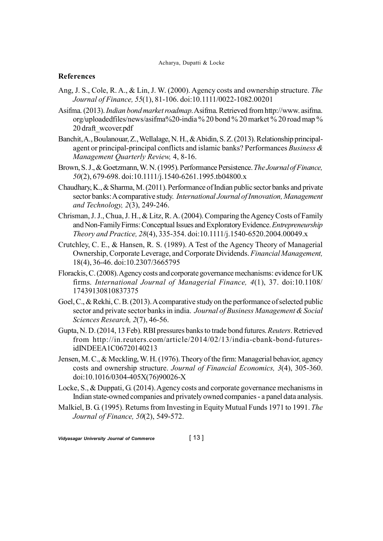## **References**

- Ang, J. S., Cole, R. A., & Lin, J. W. (2000). Agency costs and ownership structure. *The Journal of Finance, 55*(1), 81-106. doi:10.1111/0022-1082.00201
- Asifma. (2013). *Indian bond market roadmap*. Asifma. Retrieved from http://www. asifma. org/uploadedfiles/news/asifma%20-india % 20 bond % 20 market % 20 road map % 20 draft\_wcover.pdf
- Banchit, A., Boulanouar, Z., Wellalage, N. H., & Abidin, S. Z. (2013). Relationship principalagent or principal-principal conflicts and islamic banks? Performances *Business & Management Quarterly Review,* 4, 8-16.
- Brown, S. J., & Goetzmann, W. N. (1995). Performance Persistence. *The Journal of Finance, 50*(2), 679-698. doi:10.1111/j.1540-6261.1995.tb04800.x
- Chaudhary, K., & Sharma, M. (2011). Performance of Indian public sector banks and private sector banks: A comparative study. *International Journal of Innovation, Management and Technology, 2*(3), 249-246.
- Chrisman, J. J., Chua, J. H., & Litz, R. A. (2004). Comparing the Agency Costs of Family and Non-Family Firms: Conceptual Issues and Exploratory Evidence. *Entrepreneurship Theory and Practice, 28*(4), 335-354. doi:10.1111/j.1540-6520.2004.00049.x
- Crutchley, C. E., & Hansen, R. S. (1989). A Test of the Agency Theory of Managerial Ownership, Corporate Leverage, and Corporate Dividends. *Financial Management,* 18(4), 36-46. doi:10.2307/3665795
- Florackis, C. (2008). Agency costs and corporate governance mechanisms: evidence for UK firms. *International Journal of Managerial Finance, 4*(1), 37. doi:10.1108/ 17439130810837375
- Goel, C., & Rekhi, C. B. (2013). A comparative study on the performance of selected public sector and private sector banks in india. *Journal of Business Management & Social Sciences Research, 2*(7), 46-56.
- Gupta, N. D. (2014, 13 Feb). RBI pressures banks to trade bond futures. *Reuters*. Retrieved from http://in.reuters.com/article/2014/02/13/india-cbank-bond-futuresidINDEEA1C06720140213
- Jensen, M. C., & Meckling, W. H. (1976). Theory of the firm: Managerial behavior, agency costs and ownership structure. *Journal of Financial Economics, 3*(4), 305-360. doi:10.1016/0304-405X(76)90026-X
- Locke, S., & Duppati, G. (2014). Agency costs and corporate governance mechanisms in Indian state-owned companies and privately owned companies - a panel data analysis.
- Malkiel, B. G. (1995). Returns from Investing in Equity Mutual Funds 1971 to 1991. *The Journal of Finance, 50*(2), 549-572.